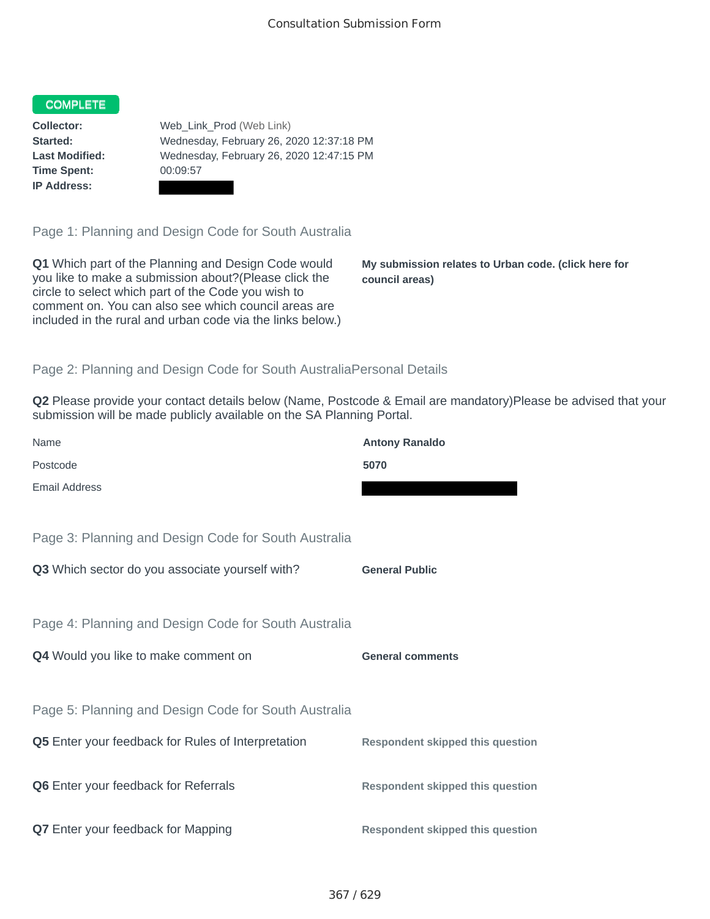## COMPLETE

**Time Spent:** 00:09:57 **IP Address:**

**Collector:** Web\_Link\_Prod (Web Link) **Started:** Wednesday, February 26, 2020 12:37:18 PM **Last Modified:** Wednesday, February 26, 2020 12:47:15 PM

Page 1: Planning and Design Code for South Australia

**Q1** Which part of the Planning and Design Code would you like to make a submission about?(Please click the circle to select which part of the Code you wish to comment on. You can also see which council areas are included in the rural and urban code via the links below.)

**My submission relates to Urban code. (click here for council areas)**

## Page 2: Planning and Design Code for South AustraliaPersonal Details

**Q2** Please provide your contact details below (Name, Postcode & Email are mandatory)Please be advised that your submission will be made publicly available on the SA Planning Portal.

| Name                                                 | <b>Antony Ranaldo</b>                   |
|------------------------------------------------------|-----------------------------------------|
| Postcode                                             | 5070                                    |
| <b>Email Address</b>                                 |                                         |
|                                                      |                                         |
| Page 3: Planning and Design Code for South Australia |                                         |
| Q3 Which sector do you associate yourself with?      | <b>General Public</b>                   |
|                                                      |                                         |
| Page 4: Planning and Design Code for South Australia |                                         |
| Q4 Would you like to make comment on                 | <b>General comments</b>                 |
|                                                      |                                         |
| Page 5: Planning and Design Code for South Australia |                                         |
| Q5 Enter your feedback for Rules of Interpretation   | <b>Respondent skipped this question</b> |
|                                                      |                                         |
| Q6 Enter your feedback for Referrals                 | <b>Respondent skipped this question</b> |
|                                                      |                                         |
| Q7 Enter your feedback for Mapping                   | <b>Respondent skipped this question</b> |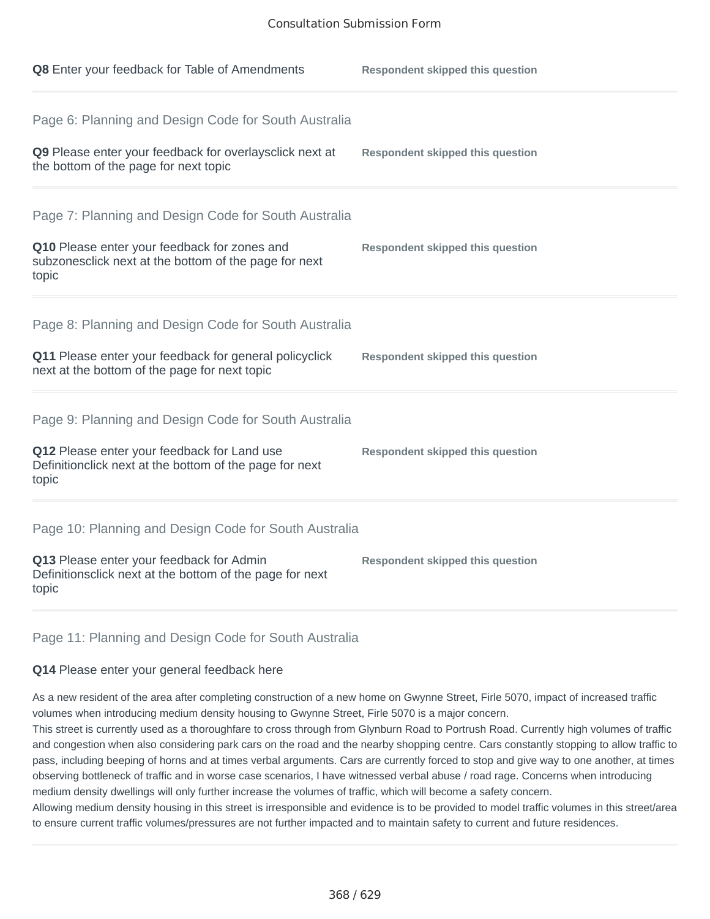| Q8 Enter your feedback for Table of Amendments                                                                                                                          | <b>Respondent skipped this question</b> |
|-------------------------------------------------------------------------------------------------------------------------------------------------------------------------|-----------------------------------------|
| Page 6: Planning and Design Code for South Australia<br>Q9 Please enter your feedback for overlaysclick next at<br>the bottom of the page for next topic                | <b>Respondent skipped this question</b> |
| Page 7: Planning and Design Code for South Australia<br>Q10 Please enter your feedback for zones and<br>subzonesclick next at the bottom of the page for next<br>topic  | <b>Respondent skipped this question</b> |
| Page 8: Planning and Design Code for South Australia<br>Q11 Please enter your feedback for general policyclick<br>next at the bottom of the page for next topic         | <b>Respondent skipped this question</b> |
| Page 9: Planning and Design Code for South Australia<br>Q12 Please enter your feedback for Land use<br>Definitionclick next at the bottom of the page for next<br>topic | <b>Respondent skipped this question</b> |
| Page 10: Planning and Design Code for South Australia<br>Q13 Please enter your feedback for Admin<br>Definitionsclick next at the bottom of the page for next<br>topic  | <b>Respondent skipped this question</b> |

## Page 11: Planning and Design Code for South Australia

## **Q14** Please enter your general feedback here

As a new resident of the area after completing construction of a new home on Gwynne Street, Firle 5070, impact of increased traffic volumes when introducing medium density housing to Gwynne Street, Firle 5070 is a major concern.

This street is currently used as a thoroughfare to cross through from Glynburn Road to Portrush Road. Currently high volumes of traffic and congestion when also considering park cars on the road and the nearby shopping centre. Cars constantly stopping to allow traffic to pass, including beeping of horns and at times verbal arguments. Cars are currently forced to stop and give way to one another, at times observing bottleneck of traffic and in worse case scenarios, I have witnessed verbal abuse / road rage. Concerns when introducing medium density dwellings will only further increase the volumes of traffic, which will become a safety concern.

Allowing medium density housing in this street is irresponsible and evidence is to be provided to model traffic volumes in this street/area to ensure current traffic volumes/pressures are not further impacted and to maintain safety to current and future residences.